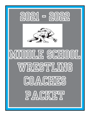



# **Middle SCHOOL** WRESTHING COACHES PACKET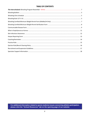# **TABLE OF CONTENTS**

For additional information related to sports medicine issues concerning athletic participation, please click the "School Resources" tab on the opening page of our website.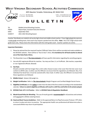# **WEST VIRGINIA SECONDARY SCHOOL ACTIVITIES COMMISSION**

**2875 Staunton Turnpike, Parkersburg, WV 26104-7219**

TELEPHONE: 304-485-5494 E-MAIL: wvssac@wvssac.org WEB SITE: www.wvssac.org



# B U L L E T

| TO:      | Middle School Wrestling Coaches          |
|----------|------------------------------------------|
| FROM:    | Wayne Ryan, Assistant Executive Director |
| DATE:    | September 2021                           |
| SUBJECT: | 2021-2022 Wrestling Season               |

Coaches' Rule Books are mailed to all varsity high school and middle school coaches. If your high school also sponsors a ninth grade wrestling team, that coach may request a packet from this office. **Note** - this is for a high school ninth grade team only. Please share this information with the ninth grade coach. Coaches' packets are online.

#### **Important Reminders:**

- 1. Please be advised that the required Coaches'/Officials' Rules Clinics will be recorded and made available on the WVSSAC website . There will be no "face to face" clinics. **It is mandatory for all head coaches to attend one of the State Rules Clinics.**
- 2. The November issue of *The Interscholastic* will have specific information regarding the wrestling program.
- 3. Use only WV registered officials for matches. You may use Class I, II, or III officials. (No inactive, suspended, or non-registered officials allowed)

#### **4. Hair Rule:**

Should a wrestler with hair longer than a shirt collar choose to wear a hair cover then the hair cover must conform to NFHS rules. In either case the Official is to ensure that the regulations are followed. Also, if an individual has facial hair, it must be covered with a face mask. In either case, the Official is to ensure that these regulations are followed.

- **5. Middle School** Sixteen (16) weigh-ins.
- **6. Weight Certification**: Refer to *The Interscholastic* Weight Program and Certified Weight Permit Forms.
- **7. Eligibility Certificates** are due **online** no later than the date of the first contest according to the standardized calendar. **Failure to submit eligibility certificates will result in a \$25 fine and forfeit of all contests played.**
- **8. WVSSAC Rule 127-2-13 Practice** Refer to *WVSSAC Rules & Regulation Handbook.*
- **9. Mouth Guard Policy for Wrestling** The use of mouth guards is **recommended** for all practices and contests and required for athletes wearing braces.
- **10. Head and Neck Trauma Guidelines** Refer to the approved Return to Play/Concussion Protocol. RTP refers to return to play and return to practice. The appropriate health care professional will determine when a concussed athlete may return to participation.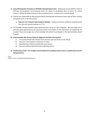- **11. Injury/Participation Procedure at WVSSAC Championship Events** Medical personnel (athletic trainers) will have the jurisdiction concerning the return of a player to competition after an injury. If a parent refuses to follow the determination of the authorized person, a release form must be signed.
- 12. Coaches are responsible for discussing the Bench Clearing Rule and Ejection Policy with all other coaches and players prior to the first contest.
	- **a. Rule 127-4-3.7 Code for Interscholastic Athletics** Coaches are hereby notified to carefully review this rule with special emphasis on 3.7.3.
- 13. The WVSSAC actively promotes good sportsmanship in all of our sport programs. We encourage you to promote good sportsmanship by informing parents and athletes of the importance of supporting this concept. Please encourage your school principal and school to participate in the Sportsmanship Award Program.

### **14. Communicable Skin Disease Policy for Regional and State Tournaments**

- a) The Communicable Skin Disease Form must be used and shown to the official.
- b) The form is only valid for a maximum of 7 days.
- c) Wrestling mats shall be sanitized after each session.
- d) This issue will be emphasized at the State Rules Clinics.

## **15. Coaches Dress Code: It is strongly recommended that wrestling coaches dress in a professional manner during matches.**

WR/sc Saved as: Sports Packets/Wrestling/MS Bulletin.doc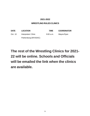# **2021-2022**

# **WRESTLING RULES CLINICS**

**DATE LOCATION TIME COORDINATOR** Oct. 10 Interpreters' Clinic 9:00 a.m. Wayne Ryan Parkersburg (WVSSAC)

# **The rest of the Wrestling Clinics for 2021- 22 will be online. Schools and Officials will be emailed the link when the clinics are available.**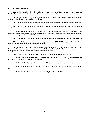#### **§127-3-31. Wrestling (Boys).**

31.1. Rules: Wrestling rules published by the National Federation of State High School Associations are the official rules for all interscholastic competition unless otherwise provided by Commission modification.

31.2. Organized Team Practice: Organized team practice will begin on Monday of Week 20 and the first contest may be played on Wednesday of Week 22.

31.3. Length of Season: The wrestling season will end for each team or individual at tournament elimination.

31.4. Maximum Team Contest: A wrestling team will be permitted to have 18 weigh-ins exclusive of regional and state tournaments.

31.4.a. Triangular and quadrangular weigh-ins count as one weigh-in. Weigh-ins in which five or more schools participate count as two weigh-ins. A dual meet, in which only two teams compete, shall only count as onehalf of a weigh-in point. (Revised 2020-21)

31.5. Scrimmages: Two wrestling scrimmages with another high school may be conducted. See Glossary.

31.6. Individual students of a team must have practiced on 14 SEPARATE days, exclusive of the day of a contest, before participating in an interscholastic contest.

31.7. A student may accept awards only in WVSSAC sanctioned events during the season of that sport. These awards must be consistent with the items specified in the Awards Rule. Students may accept only this same type of award in non-sanctioned events outside the sport season.

31.8. *Middle School -* The above will apply for Middle School with the following adaptations:

31.8.a. Organized Team Practice: Organized team practice will begin on Monday of Week 19 and the first contest may be played on Wednesday of Week 22.

31.8.b. Middle school school teams may have 16 weigh-ins excluding any conference tournaments.

31.8.c. Middle school teams are permitted one (1) scrimmage under the same conditions as a high school.

31.8.d. Middle school season will be completed by Saturday of Week 33.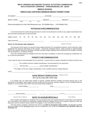# **WEST VIRGINIA SECONDARY SCHOOL ACTIVITIES COMMISSION 2875 STAUNTON TURNPIKE - PARKERSBURG, WV 26104**

**1/3/22**

#### **MIDDLE SCHOOL**

### **WRESTLING CERTIFIED MINIMUM WEIGHT PERMIT FORM**

| Recommendations for skin fold allowances are: 9% Middle-Boys 14% Middle-Girls                                                                                                                                                                                                                                                                                                                                                                                                                                                                     |                     |  |  |  |  |  |  |                                     |  |  |                     |                        |                           |  |    |  |  |
|---------------------------------------------------------------------------------------------------------------------------------------------------------------------------------------------------------------------------------------------------------------------------------------------------------------------------------------------------------------------------------------------------------------------------------------------------------------------------------------------------------------------------------------------------|---------------------|--|--|--|--|--|--|-------------------------------------|--|--|---------------------|------------------------|---------------------------|--|----|--|--|
|                                                                                                                                                                                                                                                                                                                                                                                                                                                                                                                                                   |                     |  |  |  |  |  |  | <b>PHYSICIAN'S RECOMMENDATION</b>   |  |  |                     |                        |                           |  |    |  |  |
| I recommend that the student designated above should not be allowed to wrestle in any weight classification less<br>than the listed classification circled herewith:                                                                                                                                                                                                                                                                                                                                                                              |                     |  |  |  |  |  |  |                                     |  |  |                     |                        |                           |  |    |  |  |
| Middle School: 78 84 90 95 102 110 116 123 128 135 145 155 171 190 285                                                                                                                                                                                                                                                                                                                                                                                                                                                                            |                     |  |  |  |  |  |  |                                     |  |  |                     |                        |                           |  |    |  |  |
|                                                                                                                                                                                                                                                                                                                                                                                                                                                                                                                                                   |                     |  |  |  |  |  |  |                                     |  |  |                     |                        |                           |  |    |  |  |
| <b>NOTE TO PHYSICIAN AND PARENTS:</b>                                                                                                                                                                                                                                                                                                                                                                                                                                                                                                             |                     |  |  |  |  |  |  |                                     |  |  |                     | Signature of Physician |                           |  |    |  |  |
| The purpose of this report is to prevent undue weight reduction for competitive purposes, which reduction might<br>jeopardize the physical well-being of the student. During the wrestling season, which extends to approximately<br>March, the student should eat and drink normally and gain weight regularly and consistently even though in training<br>and participating in wrestling activities.<br>Once this Certified Minimum Weight Permit form has been completed, it cannot be changed by modification nor<br>by a second examination. |                     |  |  |  |  |  |  |                                     |  |  |                     |                        |                           |  |    |  |  |
|                                                                                                                                                                                                                                                                                                                                                                                                                                                                                                                                                   |                     |  |  |  |  |  |  | <b>PARENT'S RECOMMENDATION</b>      |  |  |                     |                        |                           |  |    |  |  |
| I have read the above recommendation by the physician. I request that the student indicated be limited to: (check one)                                                                                                                                                                                                                                                                                                                                                                                                                            |                     |  |  |  |  |  |  |                                     |  |  |                     |                        |                           |  |    |  |  |
| _______ The certified minimum weight classification recommended by the physician*<br>Not less than _____________ pound weight classification*                                                                                                                                                                                                                                                                                                                                                                                                     |                     |  |  |  |  |  |  |                                     |  |  |                     |                        |                           |  |    |  |  |
| * The higher of the two weight classification is the certified minimum weight allowed                                                                                                                                                                                                                                                                                                                                                                                                                                                             |                     |  |  |  |  |  |  |                                     |  |  |                     |                        |                           |  |    |  |  |
|                                                                                                                                                                                                                                                                                                                                                                                                                                                                                                                                                   |                     |  |  |  |  |  |  |                                     |  |  |                     |                        |                           |  |    |  |  |
|                                                                                                                                                                                                                                                                                                                                                                                                                                                                                                                                                   |                     |  |  |  |  |  |  | <b>BASE WEIGHT VERIFICATION</b>     |  |  | Signature of Parent |                        |                           |  |    |  |  |
|                                                                                                                                                                                                                                                                                                                                                                                                                                                                                                                                                   |                     |  |  |  |  |  |  | (For use by coach after 12/23 only) |  |  |                     |                        |                           |  |    |  |  |
| If a wrestler has not made base weight at his/her Certified Minimum Weight (recorded above) prior to the<br>December 23 deadline, base weight must be verified the first time the wrestler weighs in at his Certified Minimum<br>Weight or at any weight class lower than previously being weighed in.                                                                                                                                                                                                                                            |                     |  |  |  |  |  |  |                                     |  |  |                     |                        |                           |  |    |  |  |
|                                                                                                                                                                                                                                                                                                                                                                                                                                                                                                                                                   | Actual Weight       |  |  |  |  |  |  |                                     |  |  |                     |                        |                           |  |    |  |  |
|                                                                                                                                                                                                                                                                                                                                                                                                                                                                                                                                                   |                     |  |  |  |  |  |  |                                     |  |  |                     |                        |                           |  | or |  |  |
|                                                                                                                                                                                                                                                                                                                                                                                                                                                                                                                                                   | Referee's Signature |  |  |  |  |  |  |                                     |  |  | Reg. No.            |                        |                           |  |    |  |  |
| Authorized Person's Signature                                                                                                                                                                                                                                                                                                                                                                                                                                                                                                                     |                     |  |  |  |  |  |  | <b>NOTE TO SCHOOLS OFFICIALS</b>    |  |  |                     |                        | <b>School Affiliation</b> |  |    |  |  |
| Each student participating in wrestling must successfully pass the required physical examination prescribed by<br>the Commission and submit the Wrestling Certified Minimum Weight Permit Form properly signed by both the                                                                                                                                                                                                                                                                                                                        |                     |  |  |  |  |  |  |                                     |  |  |                     |                        |                           |  |    |  |  |

physician and the student's parent before he engages in any interschool wrestling. This form will be completed, retained by the school, and **taken to all regular season meets.** The Wrestling Certified Minimum Weight Permit Verification Form must be completed by the school and returned to the WVSSAC office by **December 23.**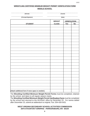# **WRESTLING CERTIFIED MINIMUM WEIGHT PERMIT VERIFICATION FORM MIDDLE SCHOOL**

| (School)                                          | (Coach)       |                     |           |  |  |  |  |  |  |
|---------------------------------------------------|---------------|---------------------|-----------|--|--|--|--|--|--|
| (Principal Signature)                             | (Date)        |                     |           |  |  |  |  |  |  |
|                                                   | <b>WEIGHT</b> | <b>VERIFICATION</b> |           |  |  |  |  |  |  |
| <b>STUDENT</b>                                    | <b>CLASS</b>  | <b>Yes</b>          | <u>No</u> |  |  |  |  |  |  |
|                                                   |               |                     |           |  |  |  |  |  |  |
|                                                   |               |                     |           |  |  |  |  |  |  |
|                                                   |               |                     |           |  |  |  |  |  |  |
|                                                   |               |                     |           |  |  |  |  |  |  |
|                                                   |               |                     |           |  |  |  |  |  |  |
|                                                   |               |                     |           |  |  |  |  |  |  |
|                                                   |               |                     |           |  |  |  |  |  |  |
|                                                   |               |                     |           |  |  |  |  |  |  |
|                                                   |               |                     |           |  |  |  |  |  |  |
|                                                   |               |                     |           |  |  |  |  |  |  |
|                                                   |               |                     |           |  |  |  |  |  |  |
|                                                   |               |                     |           |  |  |  |  |  |  |
|                                                   |               |                     |           |  |  |  |  |  |  |
|                                                   |               |                     |           |  |  |  |  |  |  |
|                                                   |               |                     |           |  |  |  |  |  |  |
|                                                   |               |                     |           |  |  |  |  |  |  |
|                                                   |               |                     |           |  |  |  |  |  |  |
|                                                   |               |                     |           |  |  |  |  |  |  |
|                                                   |               |                     |           |  |  |  |  |  |  |
|                                                   |               |                     |           |  |  |  |  |  |  |
|                                                   |               |                     |           |  |  |  |  |  |  |
|                                                   |               |                     |           |  |  |  |  |  |  |
|                                                   |               |                     |           |  |  |  |  |  |  |
| (Attach additional form if more space is needed.) |               |                     |           |  |  |  |  |  |  |

The Wrestling Certified Minimum Weight Permit Forms must be completed, retained by the school, and taken to all regular season meets.

The Wrestling Certified Minimum Weight Permit Verification Form must be completed by the school and returned to the WVSSAC office by December 23. For names added after December 23, submit an addendum to original. Fax: 304-428-5431

# **WEST VIRGINIA SECONDARY SCHOOL ACTIVITIES COMMISSION** 2875 STAUNTON TURNPIKE - PARKERSBURG, WV 26104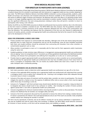## **NFHS MEDICAL RELEASE FORM**

# **FOR WRESTLER TO PARTICIPATE WITH SKIN LESION(S)**

The National Federation of State High School State Associations' (NFHS) Sports Medicine Advisory Committee has developed a medical release form for wrestlers to participate with skin lesion(s) as a suggested model you may consider adopting for your state. The NFHS Sports Medicine Advisory Committee (SMAC) conducted a survey among specialty, academic, public health and primary care physicians and reviewed extensively the literature available on the communicability of various skin lesions at different stages of disease and treatment. No definitive data exists that allow us to absolutely predict when a lesion is no longer shedding organisms that could be transmitted to another wrestler. Another finding from the survey was the significant differences that exist among physicians relating to when they will permit a wrestler to return to participation after having a skin infection.

Neither the NFHS nor the NFHS SMAC presumes to dictate to professionals how to practice medicine. Nor is the information on this form meant to establish a standard of care. The NFHS SMAC does feel, however, that the guidelines included on the form represent a summary consensus of the various responses obtained from the survey, from conversations and from the literature. The committee also believes that the components of the form are very relevant to addressing the concerns of coaches, parents, wrestlers and appropriate health-care professionals that led to the research into this subject and to the development of this form.

#### **GOALS FOR ESTABLISHING A WIDELY USED FORM:**

- 1. Protect wrestlers from exposure to communicable skin disorders. Although most of the skin lesions being discussed generally have no major long term consequences and are not life threatening, some do have morbidity associated with them and student-athletes should be protected from contracting skin disorders from other wrestlers or contaminated equipment such as mats.
- 2. Allow wrestlers to participate as soon as it is reasonably safe for them and for their opponents and/or teammates using the same mat.
- 3. Establish guidelines to help minimize major differences in management among appropriate health-care professionals who are signing "return to competition forms". Consistent use of these guidelines should reduce the likelihood wrestlers catching a skin disease from participation and suffering from inequalities as to who can or cannot participate.
- 4. Provide a basis to support appropriate health-care professional decisions on when a wrestler can or cannot participate. This should help the appropriate health-care professional who may face incredible pressure from many fronts to return a youngster to competition ASAP. This can involve any student athlete who never wins a match or the next state champion with a scholarship pending.

#### **IMPORTANT COMPONENTS FOR AN EFFECTIVE FORM:**

- 1. Each state association needs to determine which appropriate health-care professional can sign off on this form.
- 2. Inclusion of the applicable NFHS wrestling rule so appropriate health-care professionals will understand that covering a contagious lesion is not an option that is allowed by rule. Covering a non-contagious lesion after adequate therapy to prevent injury to lesion is acceptable.
- 3. Inclusion of the date and nature of treatment and the earliest date a wrestler can return to participation. This should mitigate the need for a family to incur the expense of additional office visits as occurs when a form must be signed within three days of wrestling as some do.
- 4. Inclusion of a "bodygram" with front and back views should clearly identify the lesion in question. Using non-black ink to designate skin lesions should result in less confusion or conflict. Also including the number of lesions protects against spread after a visit with an appropriate health-care professional.
- 5. Inclusion of guidelines for minimum treatment before returning the wrestler to action as discussed above. This should enhance the likelihood that all wrestlers are managed safely and fairly.
- 6. Inclusion of all of the components discussed has the potential to remove the referee from making a medical decision. If a lesion is questioned, the referee's role could appropriately be only to see if the coach can provide a fully completed medical release form allowing the wrestler to wrestle.

This form may be reproduced, if desired, and can be edited in anyway for use by various individuals or organizations. It may also be modified and used for sports other than wrestling. In addition, the NFHS SMAC would welcome comments for inclusion in future versions, as this form will be reviewed yearly, and modified as needed.

#### **Revised/Approved by NFHS SMAC - April 2018**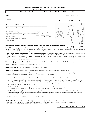#### Sports Medicine Advisory Committee

## MEDICAL RELEASE FOR WRESTLER TO PARTICIPATE WITH SKIN LESION Name: \_\_\_\_\_\_\_\_\_\_\_\_\_\_\_\_\_\_\_\_\_\_\_\_\_\_\_\_\_\_\_\_\_\_\_\_\_\_\_\_\_\_\_\_\_\_\_\_\_\_\_\_\_ Date of Exam: \_\_\_ / \_\_\_\_ / \_\_\_ Diagnosis \_\_\_\_\_\_\_\_\_\_\_\_\_\_\_\_\_\_\_\_\_\_\_\_\_\_\_\_\_\_\_\_\_\_\_\_\_\_\_\_\_\_\_\_\_\_\_\_\_\_\_ Mark Location AND Number of Lesion(s) \_\_\_\_\_\_\_\_\_\_\_\_\_\_\_\_\_\_\_\_\_\_\_\_\_\_\_\_\_\_\_\_\_\_\_\_\_\_\_\_\_\_\_\_\_\_\_\_\_\_\_\_\_\_\_\_\_\_\_ Location AND Number of Lesion(s) \_\_\_\_\_\_\_\_\_\_\_\_\_\_\_\_\_\_\_\_\_\_\_\_\_ \_\_\_\_\_\_\_\_\_\_\_\_\_\_\_\_\_\_\_\_\_\_\_\_\_\_\_\_\_\_\_\_\_\_\_\_\_\_\_\_\_\_\_\_\_\_\_\_\_\_\_\_ Medication(s) Used to Treat Lesion(s):  $\_\_$ \_\_\_\_\_\_\_\_\_\_\_\_\_\_\_\_\_\_\_\_\_\_\_\_\_\_\_\_\_\_\_\_\_\_\_\_\_\_\_\_\_\_\_\_\_\_\_\_\_\_\_\_ Date Treatment Started:  $\qquad$  /  $\qquad$  /  $\qquad$  Time: Form Expiration Date for this Lesion (Note on Diagram(s)):  $\frac{1}{\sqrt{2\pi}}$  / Earliest Date the Wrestler May Return to Participation:  $\qquad /$ Provider Signature \_\_\_\_\_\_\_\_\_\_\_\_\_\_\_\_\_\_\_\_\_\_\_\_\_\_\_\_\_\_\_\_\_\_\_ Office Phone #: \_\_\_\_\_\_\_\_\_\_\_\_\_ Provider Name (Must Be Legible) \_\_\_\_\_\_\_\_\_\_\_\_\_\_\_\_\_\_\_\_\_\_\_\_\_\_\_\_\_\_\_\_\_\_\_\_\_\_\_\_\_\_\_\_\_\_\_\_\_\_ Office Address Below are some treatment guidelines that suggest MINIMUM TREATMENT before return to wrestling: FRONT RACK

Bacterial Diseases (impetigo, boils): To be considered "non-contagious," all lesions must be scabbed over with no oozing or discharge and no new lesions should have occurred in the preceding 48 hours. Oral antibiotic for 72 hours is considered a minimum to achieve that status. If new lesions continue to develop or drain after 72 hours, MRSA (Methicillin Resistant Staphylococcus Aureus) should be considered.

Herpetic Lesions (Simplex, fever blisters/cold sores, Zoster, Gladiatorum): To be considered "non-contagious," all lesions must be scabbed over with no oozing or discharge and no new lesions should have occurred in the preceding 72 hours. For a (first episode of Herpes Gladiatorum), wrestlers should be treated and not allowed to compete for a minimum of 10 days. If general body signs and symptoms like fever and swollen lymph nodes are present, that minimum period of treatment before return to wrstling should be extended to 14 days. Recurrent outbreaks require a minimum of 120 hours of oral anti-viral treatment, again so long as no new lesions have developed and all lesions are scabbed over.

Tinea Lesions (ringworm on scalp or skin): Oral or topical treatment for 72 hours on skin and oral treatment for 14 days on scalp.

Scabies, Head Lice: 24 hours after appropriate topical management.

Conjunctivitis (Pink Eye): 24 hours of topical or oral medication and no discharge.

Molluscum Contagiosum: Upon treatment with curettage and hyfrecator, may cover with biooclusive and wrestle immediately.

Note to Appropriate Health-Care Professionals: Non-contagious lesions do not require treatment prior to return to participation (e.g. eczema, psoriasis, etc.). Please familiarize yourself with NFHS Wrestling Rules 4-2-3, 4-2-4 and 4-2-5 which states:

"ART.  $3 \ldots$  If a participant is suspected by the referee or coach of having a communicable skin disease or any other condition that makes participation appear inadvisable, the coach shall provide current written documentation as defined by the NFHS or the state associations, from an appropriate health-care professional stating that the suspected disease or condition is not communicable and that the athlete's participation would not be harmful to any opponent. This document shall be furnished at the weigh-in for the dual meet or tournament. The only exception would be if a designated, on-site meet appropriate health-care professional is present and is able to examine the wrestler either immediately prior to or immediately after the weigh-in. Covering a communicable condition shall not be considered acceptable and does not make the wrestler eligible to participate."

"ART. 4  $\ldots$  If a designated on-site meet appropriate health-care professional is present, he/she may overrule the diagnosis of the appropriate health-care professional signing the medical release form for a wrestler to participate or not participate with a particular skin condition."

"ART.  $5...$  A contestant may have documentation from an appropriate health-care professional only indicating a specific condition such as a birthmark or other non-communicable skin conditions such as psoriasis and eczema, and that documentation is valid for the duration of the season. It is valid with the understanding that a chronic condition could become secondarily infected and may require re-evaluation."

Once a lesion is considered non-contagious, it may be covered to allow participation.

DISCLAIMER: The National Federation of State High School Associations (NFHS) shall not be liable or responsible, in any way, for any diagnosis or other evaluation made herein, or exam performed in connection therewith, by the above named provider, or for any subsequent action taken, in whole or part, in reliance upon the accuracy or veracity of the information provided herein.

#### Revised/Approved by NFHS SMAC - April 2018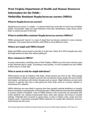# **West Virginia Department of Health and Human Resources Information for the Public -**

# **Methicillin Resistant** *Staphylococcus aureus* **(MRSA)**

# **What is** *Staphylococcus aureus***?**

*Staphylococcus aureus*, or Astaph@ is a bacteria that lives on the skin or in the nose of healthy people. Occasionally, staph can cause infections of the skin, bloodstream, lungs, bones, joints, heart, or almost any part of the body.

# **What is methicillin resistant** *Staphylococcus aureus* **(MRSA)?**

MRSA (pronounced 'mursa') is a type of staph that has become resistant to some common antibiotics. This means that an infection with MRSA is more difficult to treat.

# **Where are staph and MRSA found?**

Staph and MRSA may be found on the skin or in the nose. About 30 to 50% of people may carry the staph bacteria on their skin without getting ill.

# **How common is MRSA?**

In many communities, including some in West Virginia, MRSA is now the most common cause of skin infections due to 'staph.' According to some studies, 1 to 10% of people now carry MRSA in their nose or on their skin.

# **Who is most at risk for staph infections?**

While anyone can get an infection with staph, certain persons are more at risk. These people include diabetics, people on dialysis, persons who use injection drugs, people who have recently had surgery, and persons with chronic diseases such as cancer. Staph infections are also more common in persons who have a tube going into their body (such as a urinary catheter or intravenous (IV) catheter).

MRSA infections are more likely in persons who have recently received antibiotics or recently been in a hospital or nursing home. In the last few years, MRSA infections have also been identified in persons outside of hospitals. Cases of MRSA disease in the community are associated with recent antibiotic use, sharing contaminated items, active skin disease, and living in crowded settings. Outbreaks have occurred on sports teams, in jails or military units, camps and even hospital wards. Community associated MRSA infections are usually skin infections; however, severe illness can also occur.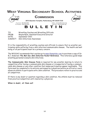

TO: Wrestling Coaches and Wrestling Officials FROM: Wayne Ryan, Assistant Executive Director DATE: September 2021 SUBJECT: Skin Infections Awareness

It is the responsibility of wrestling coaches and officials to ensure that no wrestler participates while suffering from a skin infection/communicable disease. The health and well being of all participants must be a primary concern.

The WVSSAC recommends that coaches go to www.thematdoc.com to purchase a copy of Dr. B.J. Anderson **The Mat Doc Skin Infection Pocket Reference**. This reference guide helps wrestling personnel evaluate skin infections.

**The Communicable Skin Disease Form** is required for any wrestler desiring to return to competition after having a communicable skin disease or is suspected of having a communicable skin disease or any other condition that makes participation appear inadvisable. This form must be completed in its entirety and signed by a physician before an official or coach allows an athlete to participate with a skin condition. This procedure refers to practice and all competition.

If there is any doubt or question regarding a skin condition, the athlete must be removed from practice/competition until cleared by a physician.

**When in doubt, sit them out!**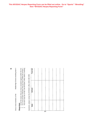**This WVSSAC Herpes Reporting Form can be filled out online. Go to "Sports" "Wrestling" then "WVSSAC Herpes Reporting Form"**

> 2. You must provide verification that you have notified all schools y 3. This form must be on file in the WVSSAC office within 2 working You must provide verification that you have notified all schools y<br>This form must be on file in the WVSSAC office within 2 working Tournam **Date School Tournam**Questions, please contact the WVSSAC office (304) 485-5494. Questions, please contact the WVSSAC office (304) 485-5494. School Date  $\sim$   $\sim$ 13

 $\geq$ 

One or more members of the Middle/High School wrestling team h

One or more members of the

Middle/High School wrestling team h

1. List all the teams that you have competed against within the  $8$  da

List all the teams that you have competed against within the 8 di

**Please Note:**

Please Note: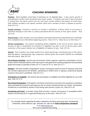

# **COACHING REMINDERS**

**Practice:** Team members must have 12 practices on 12 separate days - 5 days sports specific if participating in another sport during the same sports season. A student must have 5 days of practice if coming from one sports season into the next sports season without interruption of school days. Only students enrolled in the specific member school and a member of team is allowed to practice. Rule 127-2-13.

**Sunday Contests:** Contests or practice on Sunday is prohibited. Practice refers to any group or individual meeting to view films or activity associated with the activity of that sports season. Rule 127-3-14.

**Physical Exam:** Team members must have Athletic Participation/Parental Consent/Physician's Certificate form completed and on file before beginning practice. Rule 127-3-3. (Must be on or after May  $1^{st}$ )

**All-Star Competition:** Any student completing athletic eligibility at the end of current school year because of age or competition of semesters of eligibility may play in one (1) all-star game upon conclusion of the season without loss of eligibility for balance of year. Rule 127-3-4.

**Awards:** Team members can accept awards from school sponsoring a sanctioned event or the school. Wearing apparel, championship rings, equipment, athletic goods that exceeds \$100.00 are prohibited from any source. Rule 127-3-5.

**Out of Season Coaching:** Coaches may not promote, initiate, organize, supervise or participate in out-ofseason events involving students of the same sport as the grade level coaching assignment and preceding grade level except as specified in Rules 127-3-7.2 and 127-3-7.3. Rule 127-3-7.7.

**Amateur:** Any team member competing for money, receiving any award or prize of monetary value that has not been approved by the WVSSAC, capitalizing on athletic fame or signing a professional playing contract in that sport is prohibited. Rule 127-2-11.

**Participation as Ineligible:** Any student who participates as ineligible may forfeit eligibility for up to 365 days. Rule 127-2-12.

**Non-School Participation:** Participation is limited to school teams only with a few exceptions in individual sports provided the school principal approves and no school contests/activities are missed. Participation includes but is not limited to, practice, fund raising, team pictures, tryouts, etc. Rule 127-2-10.

**Sanctioning and Travel:** A member school shall not enter a contest, tournament, or competition which requires sanctioning until it is approved 30 days prior to the event. Rule 127-3-16.

For complete details rega*rding the above regulations and those governing team memberships, scholarship, undue influence, age, semester, etc. refer to the Rules & Regulations Handbook or at www.wvssac.org.*

*This is not a comprehensive listing.*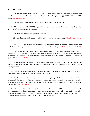#### **§127-2-13. Practice.**

13.1. Only students enrolled and eligible to be listed on the eligibility certificate for that sport in the specific member school are allowed to participate in that school's practices. Exceptions are §§12723.2, 1272-3.5, and 127- 2-13.6. (Revised 2012-13)

13.2. The frequency and length of practice is at the discretion of each member school.

13.3. Member schools of the WVSSAC may practice on any day of the year with the exception of Sunday practice. §127-3-14.2 further clarifies Sunday practice.

13.4. Individual players of a team must have practiced:

13.4.a. on **five** separate days before participating in an interscholastic scrimmage. (Effective September 13, 2021)

13.4.b. on **12** separate days, exclusive of the day of a contest, before participating in an interscholastic contest. The following sport(s) is exempted from the provisions of this rule: golf. (Effective September 13, 2021)

13.4.c. a student athlete who is absent from practice with their team for non-medical reasons, and not under a doctor care, for more than 14 consecutive days must have the required full 14 practice days before resuming participation in a contest. Students participating in football must follow the practice progression as set forth in §127-3-23. (Revised 2011-12)

13.5. A student shall not be permitted to engage in interscholastic practice until that student has filed with the principal a completed Athletic Participation/Parental Consent/Physician's Certificate Form. §1273 3 further explains this required form.

13.6. A student academically ineligible may begin practicing 15 school days immediately prior to the date of regaining full eligibility. (All other ineligible students may not practice.)

13.7. If a student has established eligibility in a sport requiring 14 separate days of practice and is continuing to participate in that sport or no school days have lapsed from one sport to another sport in a same season, the student may participate in another sport of the season after completing five separate days of sport specific practice in the second sport. (Revised 2018-19)

13.8. Students participating in a sport(s) in one season must have practiced 14 separate days, exclusive of the day of a contest, to be eligible to participate in a sport in the next season with the following exception: the student has continued to practice or participate in tournament play without an interruption of school days. The student must complete five separate days of sport specific practice in the second sport.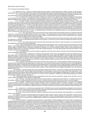#### (Ejection Rule / Bench Clearing)

#### 127-4-3 Code for Interscholastic Athletics

3.7. *Statement of Policy.* Insofar as unsportsmanlike actions by students, school administrators, officials, coaches, faculty members, and spectators are concerned, the identical items under the Sportsmanship Rule along with the following guides will be referred to by the WVSSAC: 3.7.a. The school whose coach behaves in a manner likely to have adverse influence on the attitudes of students or spectators may be provided with the choice of taking disciplinary action against that coach or having the entire school disciplined by the WVSSAC.

3.7.b. Any student who in protest lays hands or attempts to lay hands upon an official may be declared ineligible by the principal or by the WVSSAC for up to one year. Any student who strikes an opponent, coach, or a spectator during or following an athletic event may be declared ineligible by the principal or the WVSSAC for a specified period of time up to one year, depending on the seriousness of the act.

3.7.c. Any coach, student, or bench personnel ejected by an official will be suspended for the remainder of the game, match, meet or contest. The coach, student, or bench personnel ejected by an official will also be suspended in additional contest(s): the suspension will be assessed based upon ten (10) percent of the allowed regular season contests or post season progression in a playoff tournament for each sport. Any tenth of a percentage from .1 to .4 will be a suspension equal to the whole number of the percent. Any tenth from .5 to .9 will be an additional contest added to the whole number. The suspension will include the number of indicated contests in that sport and at that level and all other sport contests in the interim at any level. A second ejection will result in the doubling of the suspension assessed for the first ejection. If an individual is ejected for a third time during the same sport season, the individual will be suspended from participating or coaching for 365 calendar days from the date of ejection. In accordance with rule 127-3-15.3, an individual ejected by an official may not appeal that ejection, or any subsequent suspension that is a consequence of the ejection by an official..

3.7.c.1. Any coach, player or bench personnel who has been ejected shall not be permitted to attend any contest(s) during said suspension. He/she shall not be affiliated with the team in any capacity. This would include but not be limited to transportation to or from the contest, meeting with the team before, during or after said contest. He/she is not permitted to be in sight or sound of said contest venue. Regular practice or team meetings not affiliated with a contest are permitted.

3.7.c.2. If suspensions are imposed to a student or bench personnel at the end of the sport season and no contest remains, the suspension is carried over to that particular sport until the next school year. In the case of a senior student, the penalty will continue to the next WVSSAC sponsored sport.

3.7.c.3. Any coach suspension that cannot be enforced during the sport season in which the ejection occurs will be enforced at the beginning of the next season of that same sport.

3.7.d. In case of spectators physically molesting an official, administrator, coach, or student, the school may be given one of two options: 1) file charges against the offender (s) or 2) accept discipline from the WVSSAC. Any person found guilty of W.Va. Code §61-2-15(a) Assault, Battery on Athletic Officials, while these individuals are working or as a result of working an athletic contest, shall be banned from all WVSSAC athletic events for a minimum of 365 days from the date of being found guilty. The school filing charges shall notify the WVSSAC of the incident and outcome of any legal action.

3.7.e. The school that does not lend complete cooperation in the host school's effort to promote the spirit of good sportsmanship may be disciplined by the WVSSAC.

3.7.f. A coach may be considered as committing unsportsmanlike conduct if they make degrading remarks about officials during or after a game either on the field of play, from the bench, or through any public news media, argues with officials, or goes through motions indicating dislike for a decision, protests the decision and actions of officials pertaining to the game during and after the contest, or detains the official on the field of play following a game to request a ruling or explanation of some phase of the game. If a coach feels he/she has a legitimate criticism of a penalty call or a request for a rule interpretation, such criticism or request should be made in the privacy of the coach's office or the official's quarters and should be made in a courteous manner.

3.7.g. A student or team attendant shall not leave the bench area, team box area, or their designated off-field area during a game or contest other than during that time permitted by game or contest rules. A coach shall not leave the bench area, team box area, or the designated offfield area during a game or contest other than during that time permitted by game or contest rules unless a student altercation is taking place and the official requests assistance. Violation of this rule shall cause the coach, student, or team attendant to be immediately ejected from the contest, team penalized according to game or contest rules and that coach, student, or team attendant will not be eligible to participate in the next contest as outlined in §127-4-2.3.

3.8. Procedure. Unsportsmanship action must be reported in detail to the WVSSAC. A copy of the complaint must also be filed with the principal of the school involved. Each principal involved shall report such information or answers to the report as they deem appropriate. Upon receipt of all reports, the Executive Director and/or the Board of Directors of the WVSSAC shall investigate and adjudicate such reports in accordance with the powers afforded in §127-1-8.6 and 8.7 and §127-1-12.2 and 12.3 of the Constitution. Penalties up to and including suspension of member schools may be made in accordance with §127-4.

3.9. The following defines the different types of disciplinary action which may be assessed for violation of any WVSSAC rule by a member school, administrator, coach, athlete or contest official:

3.9.a. *Warning.* A warning may be given by the Executive Director or Assistant Executive Director. It is official notice that an inexcusable, unethical, or unsportsmanship action has occurred, is a matter of record, and that such an occurrence must not be repeated.

3.9.b. *Probation.* Probation is a much more severe type of warning and may be expressed two ways: 1) a school, coach, student, or team attendant on probation is told that further violations will lead to a fine or suspension; and/or 2) a school on probation is on conditional WVSSAC membership but may engage in its regular schedule, sanctioned events, and all WVSSAC tournament play, providing a program is filed with the Executive Director of the WVSSAC indicating measures to be taken to alleviate this problem which caused the school to be placed on probation.

3.9.c. *Suspension.* A school/coach suspended from the WVSSAC may not meet in interscholastic competition of any kind with a WVSSAC member school or a school that is a member of another state associated with the National Federation of State High School Associations.

3.9.d. *Fine.* A fine may be levied by the Executive Director.

3.9.e. Each of these sanctions (Warning, Probation, suspension and Fine) may be imposed or levied separately, or in a combination of one or more sanctions.

3.10 *Appeals.* All cases involving disciplinary action against member schools, coaches, students, team attendants, or officials may be protested in accordance with §127-6. However, disciplinary action imposed by an official, including disciplinary action that is a consequence of a decision by an official, such as a suspension for an additional game or games as a consequence of an ejection, is governed by rule 127-3-15.3 and is not subject to appeal.

3.11 Review of Ejections. Disciplinary action imposed by a contest official, including disciplinary action that results in a suspension for an additional game or games as a consequence of an ejection, is not subject to appeal pursuant to Rule **§**127-6. However, if the individual ejected believes the ejection was improper, he/she may request a review of the ejection by his/her principal. If the principal believes there is merit in the requested review, the principal shall complete and submit the WVSSAC Ejection Review Form within 24 hours or the next business day of the ejection to the Executive Director of the WVSSAC. If a review is properly requested, the WVSSAC will review the officials' special report, the WVSSAC Ejection Review Form, and such other information as the WVSSAC deems appropriate. Upon review, the WVSSAC Executive Director or the designated Assistant Director will either sustain the ejection and any consequent suspension(s), or will determine the ejection was improper and void any consequent suspension(s). A decision by the WVSSAC upon reviewing an ejection is not subject to appeal pursuant to Rule **§**127-6.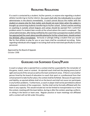# **RECRUITING REGULATIONS**

If a coach is contacted by a student, his/her parents, or anyone else regarding a student athlete transferring to his/her district, the coach shall refer the individual(s) to a school administrator in the district immediately. A coach cannot discuss the matter with the student or anyone else for that matter and should not even listen when the subject is brought up concerning students transferring to his/her school. School coaches working or coaching in outside school leagues and camps should be warned that a potential problem exists if a student later enrolls at the school where the coach is employed. The school administrator, after being notified by the coach that a prospective student athlete has approached the coach about possibly playing for his/her school team, should contact the WVSSAC office immediately. Seriously or jokingly telling a student that you would like for that athlete to play for you or your team shall be considered recruiting. Rules regarding individuals who engage in recruiting shall not be restricted specifically to school personnel.

Approved by the Board of Appeals October 1998

**\*\*\*\*\*\*\*\*\*\*\*\*\*\*\*\*\*\*\*\*\*\*\*\*\*\*\*\*\*\*\*\*\*\*\*\*\*\*\*\*\*\*\*\*\*\*\*\*\*\*\*\*\*\*\*\*\*\*\*\*\*\*\*\*\*\*\*\*\*\*\*\*\*\*\*\*\*\*\*\*\*\*\*\***

# **GUIDELINES FOR SUSPENDED COACH/PLAYER**

A coach or player who is ejected from a contest shall be suspended for the remainder of the game, match, meet or contest. An ejected coach shall exit the playing arena (out of sight and sound of the venue) as well as the team and bench areas. If there is not another person hired by the board of education to coach that sport or a professional from that school present to take his/her place, the contest shall be forfeited. Because of supervision and liability, an ejected athlete shall sit on the bench and shall not cause nor participate in any further problems. Furthermore, a coach or player shall not be permitted to attend subsequent contests of the suspension. He/she shall not be formally affiliated with the team in any capacity. This would include but not be limited to transportation to or from the contest, meeting with the team before, during or after the contest, wearing a uniform, or sitting in the bench or team area. Regular practice or team meetings not affiliated with a contest will not fall under this policy.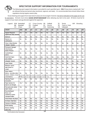# **SPECTATOR SUPPORT INFORMATION FOR TOURNAMENTS**



The following sport support information is provided for each specified sport. **ONLY** those items marked with "Yes" are allowed during tournament play (sectional, regional, and state). It is recommended that schools follow these regulations during regular season play.

Vocal cheering and support from team bench areas are encouraged; however, the items indicated on this page are for use by spectators. Schools must stress **GOOD SPORTSMANSHIP** when allowing any item to be used. All items must be for support of your team and not directed against the opponent.

| Legend: BSK Basketball<br><b>BB</b><br><b>CH</b>                                       | <b>Baseball</b><br>Cheer                                                                                                                | CC<br><b>FB</b><br>GO | Golf           | <b>Cross Country</b><br>Football                          | <b>SB</b><br><b>SC</b><br>SW | Softball<br>Soccer<br>Swimming                         |            | <b>TE</b><br>$\mathbb{R}$<br><b>VB</b> | <b>Tennis</b><br>Track & Field<br>Volleyball |                       | <b>WR</b>         | Wrestling  |            |
|----------------------------------------------------------------------------------------|-----------------------------------------------------------------------------------------------------------------------------------------|-----------------------|----------------|-----------------------------------------------------------|------------------------------|--------------------------------------------------------|------------|----------------------------------------|----------------------------------------------|-----------------------|-------------------|------------|------------|
| <b>SPORT</b>                                                                           | <b>BSK</b>                                                                                                                              | BB                    | <b>CH</b>      | cc                                                        | l F B                        | G <sub>O</sub>                                         | <b>SB</b>  | <b>SC</b>                              | <b>SW</b>                                    | <b>ITE</b>            | <b>TR</b>         | VB         | WR         |
| <b>Apparel Required</b><br><b>Upper/Lower Body Garments</b>                            | Yes                                                                                                                                     | Yes                   | <b>Yes</b>     | <b>Yes</b>                                                | Yes                          | Yes                                                    | <b>Yes</b> | <b>Yes</b>                             | Yes                                          | Yes                   | Yes               | Yes        | Yes        |
| <b>Balloons</b>                                                                        | <b>No</b>                                                                                                                               | <b>Yes</b>            | <b>No</b>      | <b>Yes</b>                                                | <u>Yes</u>                   | <b>Yes</b>                                             | <b>Yes</b> | <b>Yes</b>                             | <u>No</u>                                    | <b>Yes</b>            | <b>Yes</b>        | lNo        | <b>No</b>  |
| Banners on<br>wall/stadium                                                             | No                                                                                                                                      | <b>No</b>             | lNo            | No                                                        | No                           | No                                                     | No         | <b>No</b>                              | No                                           | lNo                   | No                | No         | <b>No</b>  |
| Cheer & Band Member<br>"Human" Tunnels                                                 | No                                                                                                                                      | Yes                   | No             | No                                                        | Yes                          | <b>No</b>                                              | Yes        | Yes                                    | No                                           | No                    | No                | Yes        | Yes        |
| Permanent Signage/<br><b>Advertisment</b><br><b>Senior Pictures</b>                    | <b>Yes</b>                                                                                                                              | Yes                   | Yes            | Yes                                                       | <b>Yes</b>                   | Yes                                                    | <b>Yes</b> | Yes                                    | Yes                                          | <b>Yes</b>            | Yes               | Yes        | <b>Yes</b> |
| Confetti/Paper<br>debris                                                               | <b>No</b>                                                                                                                               | <b>No</b>             | <b>No</b>      | No                                                        | <b>No</b>                    | <b>No</b>                                              | No         | <b>No</b>                              | No                                           | lNo                   | No                | No         | No         |
| <b>Hand-held Signs</b><br>(one holder)                                                 | Yes                                                                                                                                     | Yes                   | <b>No</b>      | Yes                                                       | Yes                          | Yes<br>TOURNAMENT DIRECTORS HAVE AUTHORITY IN DETERMIN | Yes        | Yes<br>NG APPRØPRIATE SIZE AND S       | Yes                                          | Yes<br><b>GN MESS</b> | <b>Yes</b><br>GE. | Yes        | Yes        |
| <b>Inflatable Tunnels</b>                                                              | No                                                                                                                                      | Yes                   | No             | No                                                        | <b>Yes</b>                   | <b>No</b>                                              | Yes        | Yes                                    | No                                           | No                    | No                | <b>Yes</b> | Yes        |
| <b>Laser Pointer</b>                                                                   | No                                                                                                                                      | No                    | <b>No</b>      | No                                                        | <b>No</b>                    | <b>No</b>                                              | No         | No                                     | No                                           | No                    | No                | No         | No         |
| Miniature sports<br>balls thrown to<br>crowd                                           | <b>No</b>                                                                                                                               | No                    | No             | No                                                        | No                           | No                                                     | No         | <b>No</b>                              | No                                           | No                    | No                | No         | No         |
| Noise makers<br>(Horns, cow bells, bells,<br>buzzers, clickers, or any<br>noisemakers) | No<br>Tournament Directors have authority in determining what is considered an artificial or mechanical noise maker.<br><b>NF RULES</b> | Yes                   | <b>No</b>      | Yes<br><b>SPECIFY NOISE MAKERS WHICH MAY NOT BE USED.</b> | Yes                          | <b>No</b>                                              | Yes        | Yes                                    | <b>No</b>                                    | <b>No</b>             | No                | lNo        | No         |
| <b>Opening Prayer/</b><br>Invocation                                                   | No                                                                                                                                      | No                    | No             | <b>No</b>                                                 | <b>No</b>                    | <b>No</b>                                              | No         | <b>No</b>                              | No                                           | No                    | <b>No</b>         | No         | No         |
| Paper banners for<br>team to run through                                               | Yes *                                                                                                                                   | Yes                   | N/A            | Yes                                                       | Yes                          | Yes                                                    | Yes        | Yes                                    | Yes                                          | Yes                   | Yes               | Yes        | Yes        |
| Pom poms (w/o sticks)<br><b>Spirit Towels</b>                                          | Yes                                                                                                                                     | Yes                   | Yes            | Yes                                                       | Yes                          | Yes                                                    | Yes        | Yes                                    | Yes                                          | Yes                   | Yes               | <b>Yes</b> | Yes        |
| Recorded/taped<br>Music over<br>amplifying system<br>Only pregame or halftime          | Yes *                                                                                                                                   | <b>Yes</b>            | Yes            | Yes                                                       | Yes                          | <b>Yes</b>                                             | Yes        | Yes                                    | Yes                                          | <b>Yes</b>            | Yes               | Yes        | Yes        |
| School Band, Pep Band                                                                  | No                                                                                                                                      | No                    | No             | No                                                        | <b>Yes</b>                   | No                                                     | No         | <b>Yes</b>                             | No                                           | <b>No</b>             | No                | No         | No         |
| Air Horns / Bull Horn                                                                  | <b>No</b>                                                                                                                               | <b>No</b>             | N <sub>o</sub> | No                                                        | No                           | No                                                     | No         | No                                     | No                                           | <b>No</b>             | <b>No</b>         | No         | No         |
| Cannons & Muskets                                                                      | No                                                                                                                                      | No                    | No             | No                                                        | No                           | No                                                     | No         | <b>No</b>                              | No                                           | <b>No</b>             | No                | No         | No         |
| 50-50 Drawing                                                                          | No                                                                                                                                      | No                    | No             | No                                                        | No                           | No                                                     | No         | <b>No</b>                              | No                                           | No                    | No                | No         | No         |
| <b>Reserve Seating</b><br><b>State Only</b>                                            | No                                                                                                                                      | No                    | No             | No                                                        | No                           | No                                                     | No         | No                                     | No                                           | No                    | No                | No         | No         |

**\* Not Permitted at State Tournament**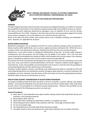

## **WEST VIRGINIA SECONDARY SCHOOL ACTIVITIES COMMISSION 2875 STAUNTONTURNPIKE, PARKERSBURG, WV 26104**

# **BODY FLUID HANDLING PROCEDURES**

### **PURPOSE**

The West Virginia Secondary School Activities Commission has adopted this policy in an effort to minimize the possibility of transmission of any infectious disease during a high school athletic practice or contest. The policy primarily addresses blood-borne pathogens such as Hepatitis B virus and the Human Immunodeficiency Virus (HIV). However, it also discusses common-sense precautions against the spread of less serious contagions such as the Influenza virus and the Common Cold virus.

Much of this policy has been written with contacts sports such as football, wrestling, and basketball in mind. However, it is applicable for all sports.

## **BLOOD-BORNE PATHOGENS**

Blood-Borne pathogens such as Hepatitis B and HIV are serious infectious diseases which are present in blood as well as other bodily fluids; such as semen, vaginal secretions and breast milk. While there are a number of other such blood-borne diseases, Hepatitis B and HIV are the most commonly known.

Hepatitis B is a virus which results in a dangerous inflammation of the liver. Its victims suffer long-term consequences and reoccurrences, and the disease can be deadly if not treated. HIV is the virus that causes Acquired Immunodeficiency Syndrome (AIDS), which weakens the immune system, thus making a person susceptible to infections their immune systems would normally fight off.

The precise risk of HIV transmission during exposure of open wounds or mucous membranes such as the eyes, ears, nose, and mouth to contaminated blood is not known. However, evidence would suggest it is extremely low. In fact, the possibility of contracting HIV in this manner is much less than the possibility of contracting Hepatitis B and other blood-borne viral infections.

Therefore, student athletes, coaches, and officials must understand that while it is possible for HIV to be transmitted by blood from one individual to another through an open wound or a mucous membrane, the probability is very low. However, since the chance of this occurring is not zero, the appropriate precautions should be taken to ensure no transmission can occur.

## **PRECAUTIONS AGAINST TRANSMISSION OF BLOOD-BORNE PATHOGENS**

The proper handling of body fluid spills should be a concern of teachers, coaches, officials, and student athletes. All concerned individuals must be aware that any time there is blood and/or other body fluids present, there is the possibility of an infectious disease being present. However this possibility can be nearly eliminated of the following precautions are observed.

### **General Procedures:**

- 1) Wear latex or vinyl disposable exam gloves before making contact with body fluids during care, treatment, and cleaning procedures.
- 2) Discard gloves after each use.
- 3) Wash hands after handling any body fluids, whether or not gloves are worn.
- 4) Discard disposal items in plastic lined containers with lids. Close bags and discard daily.
- 5) Do not reuse plastic bags.
- 6) Use disposable items to handle body fluids whenever possible.
- 7) Use paper towels to pick up and discard any solid waste materials such as vomitus and feces.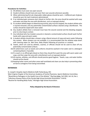### **Procedures for Activities:**

- 1) All athletes must cover any open wound.
- 2) Student athletes should treat and cover their own wounds whenever possible.
- 3) When administering first aid, disposable rubber gloves should be worn. A different pair of gloves should be worn for each treatment administered.
- 4) If an individual gets someone else's blood on his/her skin, the area should be washed with soap and water and wipe the area with disinfectant, such as isopropyl alcohol.
- 5) If a student athlete begins to bleed during activity, play must be stopped, the student athlete who is injured removed, and any potentially contaminated surfaces cleaned using a disinfectant. The surface should be wiped with clean water.
- 6) Any student athlete that is removed must have the wound covered and the bleeding stopped, prior to returning to contest.
- 7) Any individual who has treated a wound or cleaned a contaminated surface should wash his/her hands with soap and warm water.
- 8) A student athlete should take a shower using a liberal amount of soap and warm water following the contest. When showers are not available, it is recommended that the athletes wipe down with cleaning wipes (ie. Wet Ones, Baby Wipes) following all practices or contests.
- 9) Towels, which are used by athletes, coaches, or officials should not be used to clean off any potentially contaminated surfaces.
- 10) All soiled linens such as towels and uniforms should be washed in hot water and in a detergent containing bleach, if possible.
- 11) If a coach or an official gets blood on them they should first wash the area with warm water and soap, and then wipe the area with a disinfectant such as isopropyl alcohol.
- 12) All coaches, athletes, and officials should practice good hygiene. Towels, cups, and water bottles should not be shared.
- 13) Keeping locker rooms and other areas well ventilated and clean can also help in preventing other air-borne contagions from being transmitted.

## **REFERENCES**

St. Joseph's Hospital, Sports Medicine Staff, Parkersburg, WV.

West Virginia Chapter of the American Academy of Family Physicians, Sports Medicine Committee.

"Blood-Borne Pathogens in the Health Care of the Athlete," The First Aider, Fall 1992, Vol. 62, No.1.

"Infectious Disease Policy of the Florida High School Activities Association." 8-8-92.

"Routine for Handling Body Fluids," Michigan High School Association.

## **Policy Adopted by the Board of Directors**

ag/bodyfluidhandlingprocedures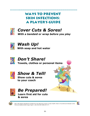# **WAYS TO PREVENT SKIN INFECTIONS: A PLAYER'S GUIDE**



# **Cover Cuts & Sores!**

With a bandaid or wrap before you play



# Wash Up! With soap and hot water



# **Don't Share!**

Towels, clothes or personal items



# **Show & Tell!**

**Show cuts & sores** to your coach



**Be Prepared! Learn first aid for cuts** & sores



2004 West Virginia Department of Health & Human Resources, Bureau for Public Health, Division of Surveillance & Disease Control Infectious Disease Epidemiology Program (304) 558-5358 (800) 423-1271